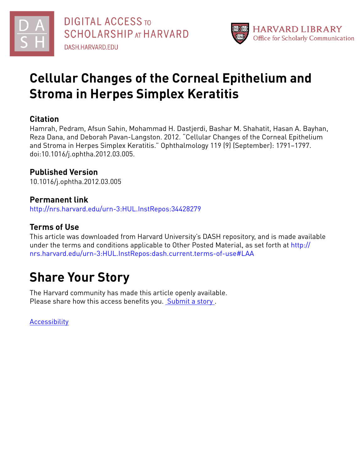



# **Cellular Changes of the Corneal Epithelium and Stroma in Herpes Simplex Keratitis**

### **Citation**

Hamrah, Pedram, Afsun Sahin, Mohammad H. Dastjerdi, Bashar M. Shahatit, Hasan A. Bayhan, Reza Dana, and Deborah Pavan-Langston. 2012. "Cellular Changes of the Corneal Epithelium and Stroma in Herpes Simplex Keratitis." Ophthalmology 119 (9) (September): 1791–1797. doi:10.1016/j.ophtha.2012.03.005.

## **Published Version**

10.1016/j.ophtha.2012.03.005

## **Permanent link**

<http://nrs.harvard.edu/urn-3:HUL.InstRepos:34428279>

## **Terms of Use**

This article was downloaded from Harvard University's DASH repository, and is made available under the terms and conditions applicable to Other Posted Material, as set forth at [http://](http://nrs.harvard.edu/urn-3:HUL.InstRepos:dash.current.terms-of-use#LAA) [nrs.harvard.edu/urn-3:HUL.InstRepos:dash.current.terms-of-use#LAA](http://nrs.harvard.edu/urn-3:HUL.InstRepos:dash.current.terms-of-use#LAA)

# **Share Your Story**

The Harvard community has made this article openly available. Please share how this access benefits you. [Submit](http://osc.hul.harvard.edu/dash/open-access-feedback?handle=&title=Cellular%20Changes%20of%20the%20Corneal%20Epithelium%20and%20Stroma%20in%20Herpes%20Simplex%20Keratitis&community=1/4454685&collection=1/4454686&owningCollection1/4454686&harvardAuthors=882c57b26acbdc483ee3169b114cce63&department) a story .

[Accessibility](https://dash.harvard.edu/pages/accessibility)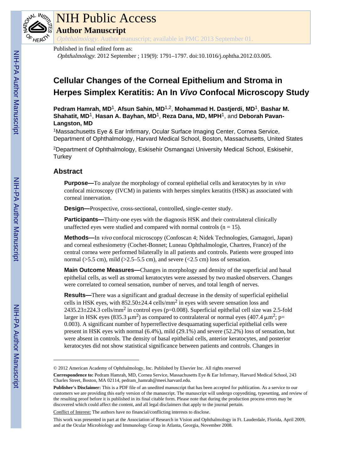

# NIH Public Access

**Author Manuscript**

Ophthalmology. Author manuscript; available in PMC 2013 September 01.

#### Published in final edited form as:

Ophthalmology. 2012 September ; 119(9): 1791–1797. doi:10.1016/j.ophtha.2012.03.005.

# **Cellular Changes of the Corneal Epithelium and Stroma in Herpes Simplex Keratitis: An In** *Vivo* **Confocal Microscopy Study**

**Pedram Hamrah, MD**1, **Afsun Sahin, MD**1,2, **Mohammad H. Dastjerdi, MD**1, **Bashar M. Shahatit, MD**1, **Hasan A. Bayhan, MD**1, **Reza Dana, MD, MPH**1, and **Deborah Pavan-Langston, MD**

<sup>1</sup>Massachusetts Eye & Ear Infirmary, Ocular Surface Imaging Center, Cornea Service, Department of Ophthalmology, Harvard Medical School, Boston, Massachusetts, United States

<sup>2</sup>Department of Ophthalmology, Eskisehir Osmangazi University Medical School, Eskisehir, **Turkey** 

#### **Abstract**

**Purpose—**To analyze the morphology of corneal epithelial cells and keratocytes by in vivo confocal microscopy (IVCM) in patients with herpes simplex keratitis (HSK) as associated with corneal innervation.

**Design—**Prospective, cross-sectional, controlled, single-center study.

**Participants—**Thirty-one eyes with the diagnosis HSK and their contralateral clinically unaffected eyes were studied and compared with normal controls  $(n = 15)$ .

**Methods—**In vivo confocal microscopy (Confoscan 4; Nidek Technologies, Gamagori, Japan) and corneal esthesiometry (Cochet-Bonnet; Luneau Ophthalmologie, Chartres, France) of the central cornea were performed bilaterally in all patients and controls. Patients were grouped into normal ( $>5.5$  cm), mild ( $>2.5-5.5$  cm), and severe ( $<2.5$  cm) loss of sensation.

**Main Outcome Measures—**Changes in morphology and density of the superficial and basal epithelial cells, as well as stromal keratocytes were assessed by two masked observers. Changes were correlated to corneal sensation, number of nerves, and total length of nerves.

**Results—**There was a significant and gradual decrease in the density of superficial epithelial cells in HSK eyes, with  $852.50 \pm 24.4$  cells/mm<sup>2</sup> in eyes with severe sensation loss and  $2435.23 \pm 224.3$  cells/mm<sup>2</sup> in control eyes (p=0.008). Superficial epithelial cell size was 2.5-fold larger in HSK eyes (835.3  $\mu$ m<sup>2</sup>) as compared to contralateral or normal eyes (407.4  $\mu$ m<sup>2</sup>; p= 0.003). A significant number of hyperreflective desquamating superficial epithelial cells were present in HSK eyes with normal (6.4%), mild (29.1%) and severe (52.2%) loss of sensation, but were absent in controls. The density of basal epithelial cells, anterior keratocytes, and posterior keratocytes did not show statistical significance between patients and controls. Changes in

Conflict of Interest: The authors have no financial/conflicting interests to disclose.

<sup>© 2012</sup> American Academy of Ophthalmology, Inc. Published by Elsevier Inc. All rights reserved

**Correspondence to:** Pedram Hamrah, MD, Cornea Service, Massachusetts Eye & Ear Infirmary, Harvard Medical School, 243 Charles Street, Boston, MA 02114, pedram\_hamrah@meei.harvard.edu.

**Publisher's Disclaimer:** This is a PDF file of an unedited manuscript that has been accepted for publication. As a service to our customers we are providing this early version of the manuscript. The manuscript will undergo copyediting, typesetting, and review of the resulting proof before it is published in its final citable form. Please note that during the production process errors may be discovered which could affect the content, and all legal disclaimers that apply to the journal pertain.

This work was presented in part at the Association of Research in Vision and Ophthalmology in Ft. Lauderdale, Florida, April 2009, and at the Ocular Microbiology and Immunology Group in Atlanta, Georgia, November 2008.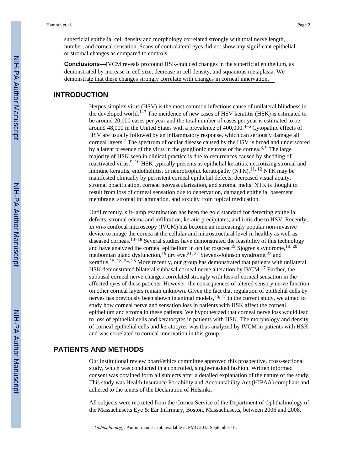superficial epithelial cell density and morphology correlated strongly with total nerve length, number, and corneal sensation. Scans of contralateral eyes did not show any significant epithelial or stromal changes as compared to controls.

**Conclusions—**IVCM reveals profound HSK-induced changes in the superficial epithelium, as demonstrated by increase in cell size, decrease in cell density, and squamous metaplasia. We demonstrate that these changes strongly correlate with changes in corneal innervation.

#### **INTRODUCTION**

Herpes simplex virus (HSV) is the most common infectious cause of unilateral blindness in the developed world.<sup>1–3</sup> The incidence of new cases of HSV keratitis (HSK) is estimated to be around 20,000 cases per year and the total number of cases per year is estimated to be around 48,000 in the United States with a prevalence of 400,000.4–6 Cytopathic effects of HSV are usually followed by an inflammatory response, which can seriously damage all corneal layers.<sup>7</sup> The spectrum of ocular disease caused by the HSV is broad and underscored by a latent presence of the virus in the ganglionic neurons or the cornea.<sup>8, 9</sup> The large majority of HSK seen in clinical practice is due to recurrences caused by shedding of reactivated virus.<sup>9, 10</sup> HSK typically presents as epithelial keratitis, necrotizing stromal and immune keratitis, endotheliitis, or neurotrophic keratopathy  $(NTK)$ .<sup>11, 12</sup> NTK may be manifested clinically by persistent corneal epithelial defects, decreased visual acuity, stromal opacification, corneal neovascularization, and stromal melts. NTK is thought to result from loss of corneal sensation due to denervation, damaged epithelial basement membrane, stromal inflammation, and toxicity from topical medication.

Until recently, slit-lamp examination has been the gold standard for detecting epithelial defects, stromal edema and infiltration, keratic precipitates, and iritis due to HSV. Recently, in vivo confocal microscopy (IVCM) has become an increasingly popular non-invasive device to image the cornea at the cellular and microstructural level in healthy as well as diseased corneas.13–18 Several studies have demonstrated the feasibility of this technology and have analyzed the corneal epithelium in ocular rosacea,  $^{19}$  Sjogren's syndrome,  $^{19, 20}$ meibomian gland dysfunction,  $^{19}$  dry eye,  $^{21, 22}$  Stevens-Johnson syndrome,  $^{23}$  and keratitis.<sup>15, 18, 24, 25</sup> More recently, our group has demonstrated that patients with unilateral HSK demonstrated bilateral subbasal corneal nerve alteration by IVCM.17 Further, the subbasal corneal nerve changes correlated strongly with loss of corneal sensation in the affected eyes of these patients. However, the consequences of altered sensory nerve function on other corneal layers remain unknown. Given the fact that regulation of epithelial cells by nerves has previously been shown in animal models,  $26$ ,  $27$  in the current study, we aimed to study how corneal nerve and sensation loss in patients with HSK affect the corneal epithelium and stroma in these patients. We hypothesized that corneal nerve loss would lead to loss of epithelial cells and keratocytes in patients with HSK. The morphology and density of corneal epithelial cells and keratocytes was thus analyzed by IVCM in patients with HSK and was correlated to corneal innervation in this group.

#### **PATIENTS AND METHODS**

Our institutional review board/ethics committee approved this prospective, cross-sectional study, which was conducted in a controlled, single-masked fashion. Written informed consent was obtained form all subjects after a detailed explanation of the nature of the study. This study was Health Insurance Portability and Accountability Act (HIPAA) compliant and adhered to the tenets of the Declaration of Helsinki.

All subjects were recruited from the Cornea Service of the Department of Ophthalmology of the Massachusetts Eye & Ear Infirmary, Boston, Massachusetts, between 2006 and 2008.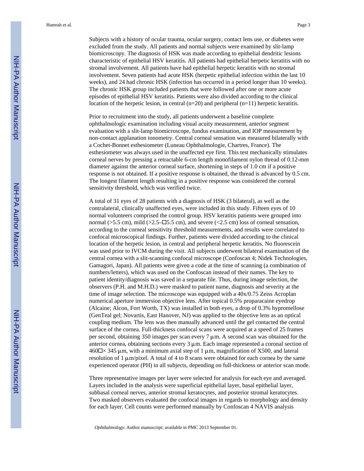Subjects with a history of ocular trauma, ocular surgery, contact lens use, or diabetes were excluded from the study. All patients and normal subjects were examined by slit-lamp biomicroscopy. The diagnosis of HSK was made according to epithelial dendritic lesions characteristic of epithelial HSV keratitis. All patients had epithelial herpetic keratitis with no stromal involvement. All patients have had epithelial herpetic keratitis with no stromal involvement. Seven patients had acute HSK (herpetic epithelial infection within the last 10 weeks), and 24 had chronic HSK (infection has occurred in a period longer than 10 weeks). The chronic HSK group included patients that were followed after one or more acute episodes of epithelial HSV keratitis. Patients were also divided according to the clinical location of the herpetic lesion, in central  $(n=20)$  and peripheral  $(n=11)$  herpetic keratitis.

Prior to recruitment into the study, all patients underwent a baseline complete ophthalmologic examination including visual acuity measurement, anterior segment evaluation with a slit-lamp biomicroscope, fundus examination, and IOP measurement by non-contact applanation tonometry. Central corneal sensation was measured bilaterally with a Cochet-Bonnet esthesiometer (Luneau Ophthalmologie, Chartres, France). The esthesiometer was always used in the unaffected eye first. This test mechanically stimulates corneal nerves by pressing a retractable 6-cm length monofilament nylon thread of 0.12-mm diameter against the anterior corneal surface, shortening in steps of 1.0 cm if a positive response is not obtained. If a positive response is obtained, the thread is advanced by 0.5 cm. The longest filament length resulting in a positive response was considered the corneal sensitivity threshold, which was verified twice.

A total of 31 eyes of 28 patients with a diagnosis of HSK (3 bilateral), as well as the contralateral, clinically unaffected eyes, were included in this study. Fifteen eyes of 10 normal volunteers comprised the control group. HSV keratitis patients were grouped into normal ( $>5.5$  cm), mild ( $>2.5$ – $\Box$ 5.5 cm), and severe ( $<2.5$  cm) loss of corneal sensation, according to the corneal sensitivity threshold measurements, and results were correlated to confocal microscopical findings. Further, patients were divided according to the clinical location of the herpetic lesion, in central and peripheral herpetic keratitis. No fluorescein was used prior to IVCM during the visit. All subjects underwent bilateral examination of the central cornea with a slit-scanning confocal microscope (Confoscan 4; Nidek Technologies, Gamagori, Japan). All patients were given a code at the time of scanning (a combination of numbers/letters), which was used on the Confoscan instead of their names. The key to patient identity/diagnosis was saved in a separate file. Thus, during image selection, the observers (P.H. and M.H.D.) were masked to patient name, diagnosis and severity at the time of image selection. The microscope was equipped with a 40x/0.75 Zeiss Acroplan numerical aperture immersion objective lens. After topical 0.5% proparacaine eyedrop (Alcaine; Alcon, Fort Worth, TX) was installed in both eyes, a drop of 0.3% hypromellose (GenTeal gel; Novartis, East Hanover, NJ) was applied to the objective lens as an optical coupling medium. The lens was then manually advanced until the gel contacted the central surface of the cornea. Full-thickness confocal scans were acquired at a speed of 25 frames per second, obtaining 350 images per scan every 7 μm. A second scan was obtained for the anterior cornea, obtaining sections every 3 μm. Each image represented a coronal section of  $460\text{ m} \times 345 \text{ }\mu\text{m}$ , with a minimum axial step of 1  $\mu$ m, magnification of X500, and lateral resolution of 1 μm/pixel. A total of 4 to 8 scans were obtained for each cornea by the same experienced operator (PH) in all subjects, depending on full-thickness or anterior scan mode.

Three representative images per layer were selected for analysis for each eye and averaged. Layers included in the analysis were superficial epithelial layer, basal epithelial layer, subbasal corneal nerves, anterior stromal keratocytes, and posterior stromal keratocytes. Two masked observers evaluated the confocal images in regards to morphology and density for each layer. Cell counts were performed manually by Confoscan 4 NAVIS analysis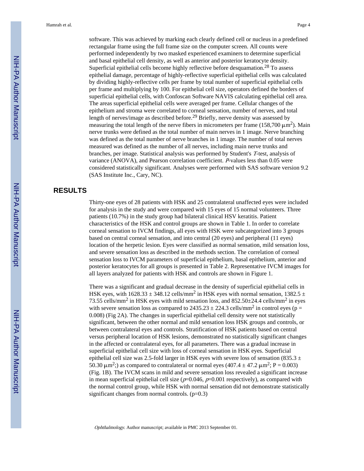software. This was achieved by marking each clearly defined cell or nucleus in a predefined rectangular frame using the full frame size on the computer screen. All counts were performed independently by two masked experienced examiners to determine superficial and basal epithelial cell density, as well as anterior and posterior keratocyte density. Superficial epithelial cells become highly reflective before desquamation.<sup>28</sup> To assess epithelial damage, percentage of highly-reflective superficial epithelial cells was calculated by dividing highly-reflective cells per frame by total number of superficial epithelial cells per frame and multiplying by 100. For epithelial cell size, operators defined the borders of superficial epithelial cells, with Confoscan Software NAVIS calculating epithelial cell area. The areas superficial epithelial cells were averaged per frame. Cellular changes of the epithelium and stroma were correlated to corneal sensation, number of nerves, and total length of nerves/image as described before.<sup>29</sup> Briefly, nerve density was assessed by measuring the total length of the nerve fibers in micrometers per frame (158,700  $\mu$ m<sup>2</sup>). Main nerve trunks were defined as the total number of main nerves in 1 image. Nerve branching was defined as the total number of nerve branches in 1 image. The number of total nerves measured was defined as the number of all nerves, including main nerve trunks and branches, per image. Statistical analysis was performed by Student's T-test, analysis of variance (ANOVA), and Pearson correlation coefficient. P-values less than 0.05 were considered statistically significant. Analyses were performed with SAS software version 9.2 (SAS Institute Inc., Cary, NC).

#### **RESULTS**

Thirty-one eyes of 28 patients with HSK and 25 contralateral unaffected eyes were included for analysis in the study and were compared with 15 eyes of 15 normal volunteers. Three patients (10.7%) in the study group had bilateral clinical HSV keratitis. Patient characteristics of the HSK and control groups are shown in Table 1. In order to correlate corneal sensation to IVCM findings, all eyes with HSK were subcategorized into 3 groups based on central corneal sensation, and into central (20 eyes) and peripheral (11 eyes) location of the herpetic lesion. Eyes were classified as normal sensation, mild sensation loss, and severe sensation loss as described in the methods section. The correlation of corneal sensation loss to IVCM parameters of superficial epithelium, basal epithelium, anterior and posterior keratocytes for all groups is presented in Table 2. Representative IVCM images for all layers analyzed for patients with HSK and controls are shown in Figure 1.

There was a significant and gradual decrease in the density of superficial epithelial cells in HSK eyes, with 1628.33  $\pm$  348.12 cells/mm<sup>2</sup> in HSK eyes with normal sensation, 1382.5  $\pm$ 73.55 cells/mm<sup>2</sup> in HSK eyes with mild sensation loss, and  $852.50\pm24.4$  cells/mm<sup>2</sup> in eyes with severe sensation loss as compared to  $2435.23 \pm 224.3$  cells/mm<sup>2</sup> in control eyes (p = 0.008) (Fig 2A). The changes in superficial epithelial cell density were not statistically significant, between the other normal and mild sensation loss HSK groups and controls, or between contralateral eyes and controls. Stratification of HSK patients based on central versus peripheral location of HSK lesions, demonstrated no statistically significant changes in the affected or contralateral eyes, for all parameters. There was a gradual increase in superficial epithelial cell size with loss of corneal sensation in HSK eyes. Superficial epithelial cell size was 2.5-fold larger in HSK eyes with severe loss of sensation (835.3  $\pm$ 50.30  $\mu$ m<sup>2</sup>;) as compared to contralateral or normal eyes (407.4  $\pm$  47.2  $\mu$ m<sup>2</sup>; P = 0.003) (Fig. 1B). The IVCM scans in mild and severe sensation loss revealed a significant increase in mean superficial epithelial cell size ( $p=0.046$ ,  $p=0.001$  respectively), as compared with the normal control group, while HSK with normal sensation did not demonstrate statistically significant changes from normal controls.  $(p=0.3)$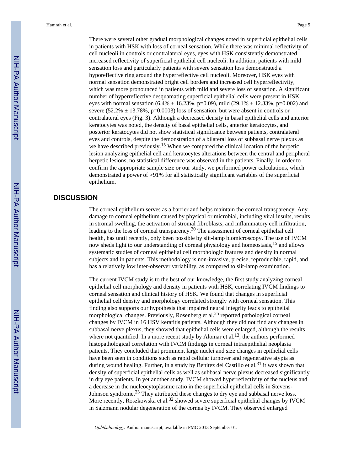There were several other gradual morphological changes noted in superficial epithelial cells in patients with HSK with loss of corneal sensation. While there was minimal reflectivity of cell nucleoli in controls or contralateral eyes, eyes with HSK consistently demonstrated increased reflectivity of superficial epithelial cell nucleoli. In addition, patients with mild sensation loss and particularly patients with severe sensation loss demonstrated a hyporeflective ring around the hyperreflective cell nucleoli. Moreover, HSK eyes with normal sensation demonstrated bright cell borders and increased cell hyperreflectivity, which was more pronounced in patients with mild and severe loss of sensation. A significant number of hyperreflective desquamating superficial epithelial cells were present in HSK eyes with normal sensation (6.4%  $\pm$  16.23%, p=0.09), mild (29.1%  $\pm$  12.33%, p=0.002) and severe (52.2%  $\pm$  13.78%, p=0.0003) loss of sensation, but were absent in controls or contralateral eyes (Fig. 3). Although a decreased density in basal epithelial cells and anterior keratocytes was noted, the density of basal epithelial cells, anterior keratocytes, and posterior keratocytes did not show statistical significance between patients, contralateral eyes and controls, despite the demonstration of a bilateral loss of subbasal nerve plexus as we have described previously.<sup>15</sup> When we compared the clinical location of the herpetic lesion analyzing epithelial cell and keratocytes alterations between the central and peripheral herpetic lesions, no statistical difference was observed in the patients. Finally, in order to confirm the appropriate sample size or our study, we performed power calculations, which demonstrated a power of >91% for all statistically significant variables of the superficial epithelium.

#### **DISCUSSION**

The corneal epithelium serves as a barrier and helps maintain the corneal transparency. Any damage to corneal epithelium caused by physical or microbial, including viral insults, results in stromal swelling, the activation of stromal fibroblasts, and inflammatory cell infiltration, leading to the loss of corneal transparency.30 The assessment of corneal epithelial cell health, has until recently, only been possible by slit-lamp biomicroscopy. The use of IVCM now sheds light to our understanding of corneal physiology and homeostasis,<sup>15</sup> and allows systematic studies of corneal epithelial cell morphologic features and density in normal subjects and in patients. This methodology is non-invasive, precise, reproducible, rapid, and has a relatively low inter-observer variability, as compared to slit-lamp examination.

The current IVCM study is to the best of our knowledge, the first study analyzing corneal epithelial cell morphology and density in patients with HSK, correlating IVCM findings to corneal sensation and clinical history of HSK. We found that changes in superficial epithelial cell density and morphology correlated strongly with corneal sensation. This finding also supports our hypothesis that impaired neural integrity leads to epithelial morphological changes. Previously, Rosenberg et al.<sup>25</sup> reported pathological corneal changes by IVCM in 16 HSV keratitis patients. Although they did not find any changes in subbasal nerve plexus, they showed that epithelial cells were enlarged, although the results where not quantified. In a more recent study by Alomar et al.<sup>13</sup>, the authors performed histopathological correlation with IVCM findings in corneal intraepithelial neoplasia patients. They concluded that prominent large nuclei and size changes in epithelial cells have been seen in conditions such as rapid cellular turnover and regenerative atypia as during wound healing. Further, in a study by Benitez del Castillo et al.<sup>31</sup> it was shown that density of superficial epithelial cells as well as subbasal nerve plexus decreased significantly in dry eye patients. In yet another study, IVCM showed hyperreflectivity of the nucleus and a decrease in the nucleocytoplasmic ratio in the superficial epithelial cells in Stevens-Johnson syndrome.23 They attributed these changes to dry eye and subbasal nerve loss. More recently, Roszkowska et al.<sup>32</sup> showed severe superficial epithelial changes by IVCM in Salzmann nodular degeneration of the cornea by IVCM. They observed enlarged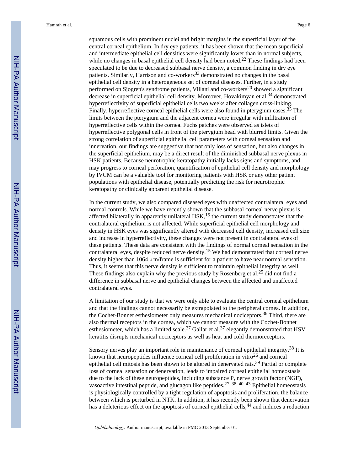squamous cells with prominent nuclei and bright margins in the superficial layer of the central corneal epithelium. In dry eye patients, it has been shown that the mean superficial and intermediate epithelial cell densities were significantly lower than in normal subjects, while no changes in basal epithelial cell density had been noted.<sup>22</sup> These findings had been speculated to be due to decreased subbasal nerve density, a common finding in dry eye patients. Similarly, Harrison and co-workers<sup>33</sup> demonstrated no changes in the basal epithelial cell density in a heterogeneous set of corneal diseases. Further, in a study performed on Sjogren's syndrome patients, Villani and co-workers<sup>20</sup> showed a significant decrease in superficial epithelial cell density. Moreover, Hovakimyan et al.<sup>34</sup> demonstrated hyperreflectivity of superficial epithelial cells two weeks after collagen cross-linking. Finally, hyperreflective corneal epithelial cells were also found in pterygium cases.<sup>35</sup> The limits between the pterygium and the adjacent cornea were irregular with infiltration of hyperreflective cells within the cornea. Fuchs patches were observed as islets of hyperreflective polygonal cells in front of the pterygium head with blurred limits. Given the strong correlation of superficial epithelial cell parameters with corneal sensation and innervation, our findings are suggestive that not only loss of sensation, but also changes in the superficial epithelium, may be a direct result of the diminished subbasal nerve plexus in HSK patients. Because neurotrophic keratopathy initially lacks signs and symptoms, and may progress to corneal perforation, quantification of epithelial cell density and morphology by IVCM can be a valuable tool for monitoring patients with HSK or any other patient populations with epithelial disease, potentially predicting the risk for neurotrophic keratopathy or clinically apparent epithelial disease.

In the current study, we also compared diseased eyes with unaffected contralateral eyes and normal controls. While we have recently shown that the subbasal corneal nerve plexus is affected bilaterally in apparently unilateral HSK,<sup>15</sup> the current study demonstrates that the contralateral epithelium is not affected. While superficial epithelial cell morphology and density in HSK eyes was significantly altered with decreased cell density, increased cell size and increase in hyperreflectivity, these changes were not present in contralateral eyes of these patients. These data are consistent with the findings of normal corneal sensation in the contralateral eyes, despite reduced nerve density.15 We had demonstrated that corneal nerve density higher than 1064 μm/frame is sufficient for a patient to have near normal sensation. Thus, it seems that this nerve density is sufficient to maintain epithelial integrity as well. These findings also explain why the previous study by Rosenberg et al.<sup>25</sup> did not find a difference in subbasal nerve and epithelial changes between the affected and unaffected contralateral eyes.

A limitation of our study is that we were only able to evaluate the central corneal epithelium and that the findings cannot necessarily be extrapolated to the peripheral cornea. In addition, the Cochet-Bonnet esthesiometer only measures mechanical nociceptors.36 Third, there are also thermal receptors in the cornea, which we cannot measure with the Cochet-Bonnet esthesiometer, which has a limited scale.<sup>37</sup> Gallar et al.<sup>37</sup> elegantly demonstrated that HSV keratitis disrupts mechanical nociceptors as well as heat and cold thermoreceptors.

Sensory nerves play an important role in maintenance of corneal epithelial integrity.<sup>38</sup> It is known that neuropeptides influence corneal cell proliferation in vitro $^{26}$  and corneal epithelial cell mitosis has been shown to be altered in denervated rats.<sup>39</sup> Partial or complete loss of corneal sensation or denervation, leads to impaired corneal epithelial homeostasis due to the lack of these neuropeptides, including substance P, nerve growth factor (NGF), vasoactive intestinal peptide, and glucagon like peptides.<sup>27, 38, 40–43</sup> Epithelial homeostasis is physiologically controlled by a tight regulation of apoptosis and proliferation, the balance between which is perturbed in NTK. In addition, it has recently been shown that denervation has a deleterious effect on the apoptosis of corneal epithelial cells,<sup>44</sup> and induces a reduction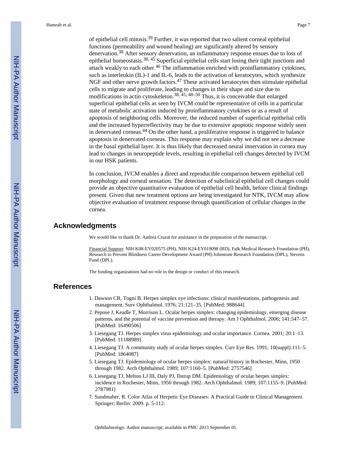of epithelial cell mitosis.39 Further, it was reported that two salient corneal epithelial functions (permeability and wound healing) are significantly altered by sensory denervation.38 After sensory denervation, an inflammatory response ensues due to loss of epithelial homeostasis.<sup>38, 45</sup> Superficial epithelial cells start losing their tight junctions and attach weakly to each other.<sup>46</sup> The inflammation enriched with proinflammatory cytokines, such as interleukin (IL)-1 and IL-6, leads to the activation of keratocytes, which synthesize NGF and other nerve growth factors.47 These activated keratocytes then stimulate epithelial cells to migrate and proliferate, leading to changes in their shape and size due to modifications in actin cytoskeleton.<sup>38, 45, 48–50</sup> Thus, it is conceivable that enlarged superficial epithelial cells as seen by IVCM could be representative of cells in a particular state of metabolic activation induced by proinflammatory cytokines or as a result of apoptosis of neighboring cells. Moreover, the reduced number of superficial epithelial cells and the increased hyperreflectivity may be due to extensive apoptotic response widely seen in denervated corneas.44 On the other hand, a proliferative response is triggered to balance apoptosis in denervated corneas. This response may explain why we did not see a decrease in the basal epithelial layer. It is thus likely that decreased neural innervation in cornea may lead to changes in neuropeptide levels, resulting in epithelial cell changes detected by IVCM in our HSK patients.

In conclusion, IVCM enables a direct and reproducible comparison between epithelial cell morphology and corneal sensation. The detection of subclinical epithelial cell changes could provide an objective quantitative evaluation of epithelial cell health, before clinical findings present. Given that new treatment options are being investigated for NTK, IVCM may allow objective evaluation of treatment response through quantification of cellular changes in the cornea.

#### **Acknowledgments**

We would like to thank Dr. Andrea Cruzat for assistance in the preparation of the manuscript.

Financial Support: NIH K08-EY020575 (PH), NIH K24-EY019098 (RD), Falk Medical Research Foundation (PH), Research to Prevent Blindness Career Development Award (PH) Johnstone Research Foundation (DPL), Stevens Fund (DPL).

The funding organizations had no role in the design or conduct of this research.

#### **References**

- 1. Dawson CR, Togni B. Herpes simplex eye infections: clinical manifestations, pathogenesis and management. Surv Ophthalmol. 1976; 21:121–35. [PubMed: 988644]
- 2. Pepose J, Keadle T, Morrison L. Ocular herpes simplex: changing epidemiology, emerging disease patterns, and the potential of vaccine prevention and therapy. Am J Ophthalmol. 2006; 141:547–57. [PubMed: 16490506]
- 3. Liesegang TJ. Herpes simplex virus epidemiology and ocular importance. Cornea. 2001; 20:1–13. [PubMed: 11188989]
- 4. Liesegang TJ. A community study of ocular herpes simplex. Curr Eye Res. 1991; 10(suppl):111–5. [PubMed: 1864087]
- 5. Liesegang TJ. Epidemiology of ocular herpes simplex: natural history in Rochester, Minn, 1950 through 1982. Arch Ophthalmol. 1989; 107:1160–5. [PubMed: 2757546]
- 6. Liesegang TJ, Melton LJ III, Daly PJ, Ilstrup DM. Epidemiology of ocular herpes simplex: incidence in Rochester, Minn, 1950 through 1982. Arch Ophthalmol. 1989; 107:1155–9. [PubMed: 2787981]
- 7. Sundmaher, R. Color Atlas of Herpetic Eye Diseases: A Practical Guide to Clinical Management. Springer; Berlin: 2009. p. 5-112.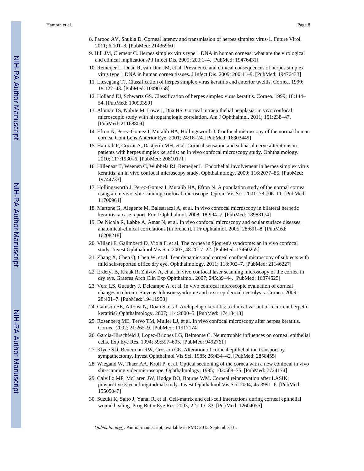- 8. Farooq AV, Shukla D. Corneal latency and transmission of herpes simplex virus-1. Future Virol. 2011; 6:101–8. [PubMed: 21436960]
- 9. Hill JM, Clement C. Herpes simplex virus type 1 DNA in human corneas: what are the virological and clinical implications? J Infect Dis. 2009; 200:1–4. [PubMed: 19476431]
- 10. Remeijer L, Duan R, van Dun JM, et al. Prevalence and clinical consequences of herpes simplex virus type 1 DNA in human cornea tissues. J Infect Dis. 2009; 200:11–9. [PubMed: 19476433]
- 11. Liesegang TJ. Classification of herpes simplex virus keratitis and anterior uveitis. Cornea. 1999; 18:127–43. [PubMed: 10090358]
- 12. Holland EJ, Schwartz GS. Classification of herpes simplex virus keratitis. Cornea. 1999; 18:144– 54. [PubMed: 10090359]
- 13. Alomar TS, Nubile M, Lowe J, Dua HS. Corneal intraepithelial neoplasia: in vivo confocal microscopic study with histopathologic correlation. Am J Ophthalmol. 2011; 151:238–47. [PubMed: 21168809]
- 14. Efron N, Perez-Gomez I, Mutalib HA, Hollingsworth J. Confocal microscopy of the normal human cornea. Cont Lens Anterior Eye. 2001; 24:16–24. [PubMed: 16303449]
- 15. Hamrah P, Cruzat A, Dastjerdi MH, et al. Corneal sensation and subbasal nerve alterations in patients with herpes simplex keratitis: an in vivo confocal microscopy study. Ophthalmology. 2010; 117:1930–6. [PubMed: 20810171]
- 16. Hillenaar T, Weenen C, Wubbels RJ, Remeijer L. Endothelial involvement in herpes simplex virus keratitis: an in vivo confocal microscopy study. Ophthalmology. 2009; 116:2077–86. [PubMed: 19744733]
- 17. Hollingsworth J, Perez-Gomez I, Mutalib HA, Efron N. A population study of the normal cornea using an in vivo, slit-scanning confocal microscope. Optom Vis Sci. 2001; 78:706–11. [PubMed: 11700964]
- 18. Martone G, Alegente M, Balestrazzi A, et al. In vivo confocal microscopy in bilateral herpetic keratitis: a case report. Eur J Ophthalmol. 2008; 18:994–7. [PubMed: 18988174]
- 19. De Nicola R, Labbe A, Amar N, et al. In vivo confocal microscopy and ocular surface diseases: anatomical-clinical correlations [in French]. J Fr Ophtalmol. 2005; 28:691–8. [PubMed: 16208218]
- 20. Villani E, Galimberti D, Viola F, et al. The cornea in Sjogren's syndrome: an in vivo confocal study. Invest Ophthalmol Vis Sci. 2007; 48:2017–22. [PubMed: 17460255]
- 21. Zhang X, Chen Q, Chen W, et al. Tear dynamics and corneal confocal microscopy of subjects with mild self-reported office dry eye. Ophthalmology. 2011; 118:902–7. [PubMed: 21146227]
- 22. Erdelyi B, Kraak R, Zhivov A, et al. In vivo confocal laser scanning microscopy of the cornea in dry eye. Graefes Arch Clin Exp Ophthalmol. 2007; 245:39–44. [PubMed: 16874525]
- 23. Vera LS, Gueudry J, Delcampe A, et al. In vivo confocal microscopic evaluation of corneal changes in chronic Stevens-Johnson syndrome and toxic epidermal necrolysis. Cornea. 2009; 28:401–7. [PubMed: 19411958]
- 24. Gabison EE, Alfonsi N, Doan S, et al. Archipelago keratitis: a clinical variant of recurrent herpetic keratitis? Ophthalmology. 2007; 114:2000–5. [PubMed: 17418418]
- 25. Rosenberg ME, Tervo TM, Muller LJ, et al. In vivo confocal microscopy after herpes keratitis. Cornea. 2002; 21:265–9. [PubMed: 11917174]
- 26. Garcia-Hirschfeld J, Lopez-Briones LG, Belmonte C. Neurotrophic influences on corneal epithelial cells. Exp Eye Res. 1994; 59:597–605. [PubMed: 9492761]
- 27. Klyce SD, Beuerman RW, Crosson CE. Alteration of corneal epithelial ion transport by sympathectomy. Invest Ophthalmol Vis Sci. 1985; 26:434–42. [PubMed: 2858455]
- 28. Wiegand W, Thaer AA, Kroll P, et al. Optical sectioning of the cornea with a new confocal in vivo slit-scanning videomicroscope. Ophthalmology. 1995; 102:568–75. [PubMed: 7724174]
- 29. Calvillo MP, McLaren JW, Hodge DO, Bourne WM. Corneal reinnervation after LASIK: prospective 3-year longitudinal study. Invest Ophthalmol Vis Sci. 2004; 45:3991–6. [PubMed: 15505047]
- 30. Suzuki K, Saito J, Yanai R, et al. Cell-matrix and cell-cell interactions during corneal epithelial wound healing. Prog Retin Eye Res. 2003; 22:113–33. [PubMed: 12604055]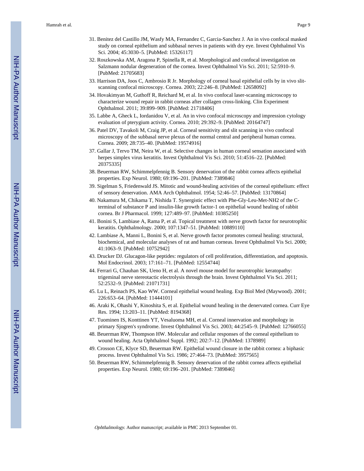- 31. Benitez del Castillo JM, Wasfy MA, Fernandez C, Garcia-Sanchez J. An in vivo confocal masked study on corneal epithelium and subbasal nerves in patients with dry eye. Invest Ophthalmol Vis Sci. 2004; 45:3030–5. [PubMed: 15326117]
- 32. Roszkowska AM, Aragona P, Spinella R, et al. Morphological and confocal investigation on Salzmann nodular degeneration of the cornea. Invest Ophthalmol Vis Sci. 2011; 52:5910–9. [PubMed: 21705683]
- 33. Harrison DA, Joos C, Ambrosio R Jr. Morphology of corneal basal epithelial cells by in vivo slitscanning confocal microscopy. Cornea. 2003; 22:246–8. [PubMed: 12658092]
- 34. Hovakimyan M, Guthoff R, Reichard M, et al. In vivo confocal laser-scanning microscopy to characterize wound repair in rabbit corneas after collagen cross-linking. Clin Experiment Ophthalmol. 2011; 39:899–909. [PubMed: 21718406]
- 35. Labbe A, Gheck L, Iordanidou V, et al. An in vivo confocal microscopy and impression cytology evaluation of pterygium activity. Cornea. 2010; 29:392–9. [PubMed: 20164747]
- 36. Patel DV, Tavakoli M, Craig JP, et al. Corneal sensitivity and slit scanning in vivo confocal microscopy of the subbasal nerve plexus of the normal central and peripheral human cornea. Cornea. 2009; 28:735–40. [PubMed: 19574916]
- 37. Gallar J, Tervo TM, Neira W, et al. Selective changes in human corneal sensation associated with herpes simplex virus keratitis. Invest Ophthalmol Vis Sci. 2010; 51:4516–22. [PubMed: 20375335]
- 38. Beuerman RW, Schimmelpfennig B. Sensory denervation of the rabbit cornea affects epithelial properties. Exp Neurol. 1980; 69:196–201. [PubMed: 7389846]
- 39. Sigelman S, Friedenwald JS. Mitotic and wound-healing activities of the corneal epithelium: effect of sensory denervation. AMA Arch Ophthalmol. 1954; 52:46–57. [PubMed: 13170864]
- 40. Nakamura M, Chikama T, Nishida T. Synergistic effect with Phe-Gly-Leu-Met-NH2 of the Cterminal of substance P and insulin-like growth factor-1 on epithelial wound healing of rabbit cornea. Br J Pharmacol. 1999; 127:489–97. [PubMed: 10385250]
- 41. Bonini S, Lambiase A, Rama P, et al. Topical treatment with nerve growth factor for neurotrophic keratitis. Ophthalmology. 2000; 107:1347–51. [PubMed: 10889110]
- 42. Lambiase A, Manni L, Bonini S, et al. Nerve growth factor promotes corneal healing: structural, biochemical, and molecular analyses of rat and human corneas. Invest Ophthalmol Vis Sci. 2000; 41:1063–9. [PubMed: 10752942]
- 43. Drucker DJ. Glucagon-like peptides: regulators of cell proliferation, differentiation, and apoptosis. Mol Endocrinol. 2003; 17:161–71. [PubMed: 12554744]
- 44. Ferrari G, Chauhan SK, Ueno H, et al. A novel mouse model for neurotrophic keratopathy: trigeminal nerve stereotactic electrolysis through the brain. Invest Ophthalmol Vis Sci. 2011; 52:2532–9. [PubMed: 21071731]
- 45. Lu L, Reinach PS, Kao WW. Corneal epithelial wound healing. Exp Biol Med (Maywood). 2001; 226:653–64. [PubMed: 11444101]
- 46. Araki K, Ohashi Y, Kinoshita S, et al. Epithelial wound healing in the denervated cornea. Curr Eye Res. 1994; 13:203–11. [PubMed: 8194368]
- 47. Tuominen IS, Konttinen YT, Vesaluoma MH, et al. Corneal innervation and morphology in primary Sjogren's syndrome. Invest Ophthalmol Vis Sci. 2003; 44:2545–9. [PubMed: 12766055]
- 48. Beuerman RW, Thompson HW. Molecular and cellular responses of the corneal epithelium to wound healing. Acta Ophthalmol Suppl. 1992; 202:7–12. [PubMed: 1378989]
- 49. Crosson CE, Klyce SD, Beuerman RW. Epithelial wound closure in the rabbit cornea: a biphasic process. Invest Ophthalmol Vis Sci. 1986; 27:464–73. [PubMed: 3957565]
- 50. Beuerman RW, Schimmelpfennig B. Sensory denervation of the rabbit cornea affects epithelial properties. Exp Neurol. 1980; 69:196–201. [PubMed: 7389846]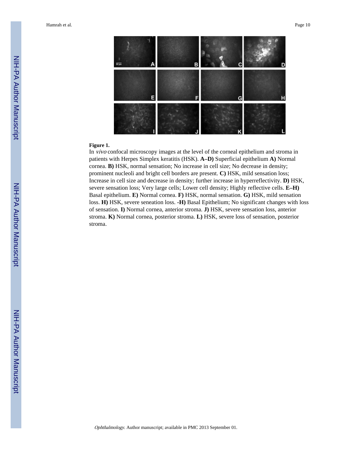

#### **Figure 1.**

In vivo confocal microscopy images at the level of the corneal epithelium and stroma in patients with Herpes Simplex keratitis (HSK). **A–D)** Superficial epithelium **A)** Normal cornea. **B)** HSK, normal sensation; No increase in cell size; No decrease in density; prominent nucleoli and bright cell borders are present. **C)** HSK, mild sensation loss; Increase in cell size and decrease in density; further increase in hyperreflectivity. **D)** HSK, severe sensation loss; Very large cells; Lower cell density; Highly reflective cells. **E–H)** Basal epithelium. **E)** Normal cornea. **F)** HSK, normal sensation. **G)** HSK, mild sensation loss. **H)** HSK, severe seneation loss. **-H)** Basal Epithelium; No significant changes with loss of sensation. **I)** Normal cornea, anterior stroma. **J)** HSK, severe sensation loss, anterior stroma. **K)** Normal cornea, posterior stroma. **L)** HSK, severe loss of sensation, posterior stroma.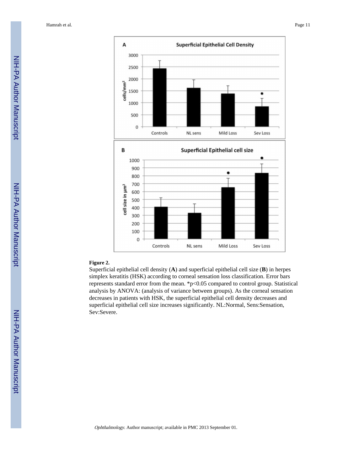

#### **Figure 2.**

Superficial epithelial cell density (**A**) and superficial epithelial cell size (**B**) in herpes simplex keratitis (HSK) according to corneal sensation loss classification. Error bars represents standard error from the mean. \*p<0.05 compared to control group. Statistical analysis by ANOVA: (analysis of variance between groups). As the corneal sensation decreases in patients with HSK, the superficial epithelial cell density decreases and superficial epithelial cell size increases significantly. NL:Normal, Sens:Sensation, Sev:Severe.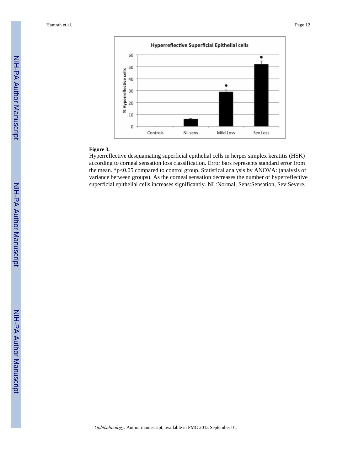

#### **Figure 3.**

Hyperreflective desquamating superficial epithelial cells in herpes simplex keratitis (HSK) according to corneal sensation loss classification. Error bars represents standard error from the mean. \*p<0.05 compared to control group. Statistical analysis by ANOVA: (analysis of variance between groups). As the corneal sensation decreases the number of hyperreflective superficial epithelial cells increases significantly. NL:Normal, Sens:Sensation, Sev:Severe.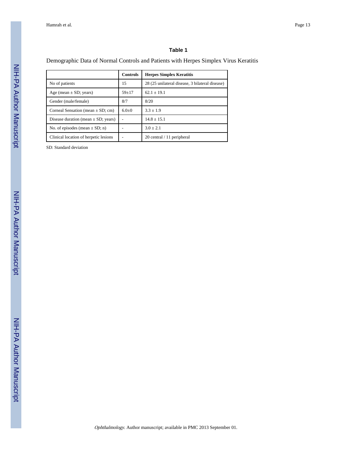#### **Table 1**

#### Demographic Data of Normal Controls and Patients with Herpes Simplex Virus Keratitis

|                                         | <b>Controls</b> | <b>Herpes Simplex Keratitis</b>                 |
|-----------------------------------------|-----------------|-------------------------------------------------|
| No of patients                          | 15              | 28 (25 unilateral disease, 3 bilateral disease) |
| Age (mean $\pm$ SD; years)              | $59+17$         | $62.1 \pm 19.1$                                 |
| Gender (male/female)                    | 8/7             | 8/20                                            |
| Corneal Sensation (mean $\pm$ SD; cm)   | $6.0+0$         | $3.3 + 1.9$                                     |
| Disease duration (mean $\pm$ SD; years) |                 | $14.8 + 15.1$                                   |
| No. of episodes (mean $\pm$ SD; n)      |                 | $3.0 + 2.1$                                     |
| Clinical location of herpetic lesions   |                 | 20 central / 11 peripheral                      |

SD: Standard deviation

NIH-PA Author Manuscript

NIH-PA Author Manuscript

NIH-PA Author Manuscript

NIH-PA Author Manuscript